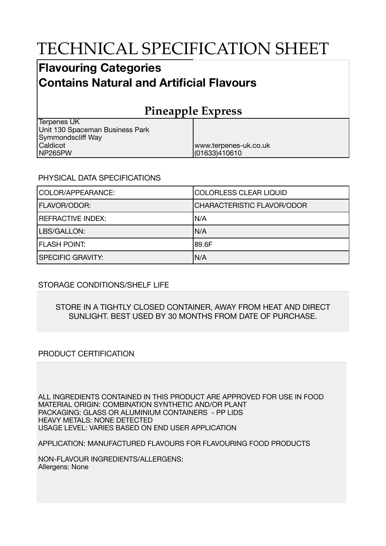# TECHNICAL SPECIFICATION SHEET

### **Flavouring Categories Contains Natural and Artificial Flavours**

## **Pineapple Express**

www.terpenes-uk.co.uk

(01633)410610

| Terpenes UK                     |  |
|---------------------------------|--|
| Unit 130 Spaceman Business Park |  |
| Symmondscliff Way               |  |
| Caldicot                        |  |
| NP265PW                         |  |

#### PHYSICAL DATA SPECIFICATIONS

| COLOR/APPEARANCE:        | COLORLESS CLEAR LIQUID            |
|--------------------------|-----------------------------------|
| <b>FLAVOR/ODOR:</b>      | <b>CHARACTERISTIC FLAVOR/ODOR</b> |
| <b>REFRACTIVE INDEX:</b> | IN/A                              |
| LBS/GALLON:              | IN/A                              |
| <b>FLASH POINT:</b>      | 189.6F                            |
| <b>SPECIFIC GRAVITY:</b> | N/A                               |

#### STORAGE CONDITIONS/SHELF LIFE

#### STORE IN A TIGHTLY CLOSED CONTAINER, AWAY FROM HEAT AND DIRECT SUNLIGHT. BEST USED BY 30 MONTHS FROM DATE OF PURCHASE.

#### PRODUCT CERTIFICATION

ALL INGREDIENTS CONTAINED IN THIS PRODUCT ARE APPROVED FOR USE IN FOOD MATERIAL ORIGIN: COMBINATION SYNTHETIC AND/OR PLANT PACKAGING: GLASS OR ALUMINIUM CONTAINERS - PP LIDS HEAVY METALS: NONE DETECTED USAGE LEVEL: VARIES BASED ON END USER APPLICATION

APPLICATION: MANUFACTURED FLAVOURS FOR FLAVOURING FOOD PRODUCTS

NON-FLAVOUR INGREDIENTS/ALLERGENS: Allergens: None